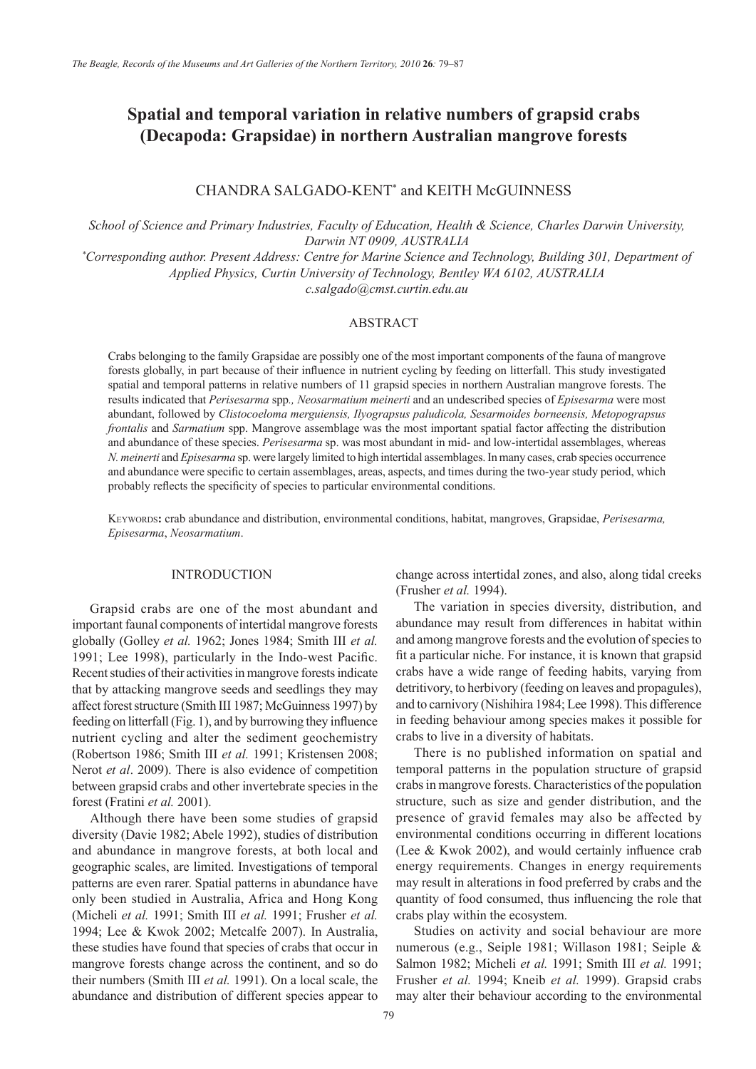# **Spatial and temporal variation in relative numbers of grapsid crabs (Decapoda: Grapsidae) in northern Australian mangrove forests**

## CHANDRA SALGADO-KENT\* and KEITH McGUINNESS

*School of Science and Primary Industries, Faculty of Education, Health & Science, Charles Darwin University, Darwin NT 0909, AUSTRALIA*

*\* Corresponding author. Present Address: Centre for Marine Science and Technology, Building 301, Department of Applied Physics, Curtin University of Technology, Bentley WA 6102, AUSTRALIA*

*c.salgado@cmst.curtin.edu.au*

#### ABSTRACT

Crabs belonging to the family Grapsidae are possibly one of the most important components of the fauna of mangrove forests globally, in part because of their influence in nutrient cycling by feeding on litterfall. This study investigated spatial and temporal patterns in relative numbers of 11 grapsid species in northern Australian mangrove forests. The results indicated that *Perisesarma* spp*., Neosarmatium meinerti* and an undescribed species of *Episesarma* were most abundant, followed by *Clistocoeloma merguiensis, Ilyograpsus paludicola, Sesarmoides borneensis, Metopograpsus frontalis* and *Sarmatium* spp. Mangrove assemblage was the most important spatial factor affecting the distribution and abundance of these species. *Perisesarma* sp. was most abundant in mid- and low-intertidal assemblages, whereas *N. meinerti* and *Episesarma* sp. were largely limited to high intertidal assemblages. In many cases, crab species occurrence and abundance were specific to certain assemblages, areas, aspects, and times during the two-year study period, which probably reflects the specificity of species to particular environmental conditions.

Keywords**:** crab abundance and distribution, environmental conditions, habitat, mangroves, Grapsidae, *Perisesarma, Episesarma*, *Neosarmatium*.

#### INTRODUCTION

Grapsid crabs are one of the most abundant and important faunal components of intertidal mangrove forests globally (Golley *et al.* 1962; Jones 1984; Smith III *et al.* 1991; Lee 1998), particularly in the Indo-west Pacific. Recent studies of their activities in mangrove forests indicate that by attacking mangrove seeds and seedlings they may affect forest structure (Smith III 1987; McGuinness 1997) by feeding on litterfall (Fig. 1), and by burrowing they influence nutrient cycling and alter the sediment geochemistry (Robertson 1986; Smith III *et al.* 1991; Kristensen 2008; Nerot *et al*. 2009). There is also evidence of competition between grapsid crabs and other invertebrate species in the forest (Fratini *et al.* 2001).

Although there have been some studies of grapsid diversity (Davie 1982; Abele 1992), studies of distribution and abundance in mangrove forests, at both local and geographic scales, are limited. Investigations of temporal patterns are even rarer. Spatial patterns in abundance have only been studied in Australia, Africa and Hong Kong (Micheli *et al.* 1991; Smith III *et al.* 1991; Frusher *et al.* 1994; Lee & Kwok 2002; Metcalfe 2007). In Australia, these studies have found that species of crabs that occur in mangrove forests change across the continent, and so do their numbers (Smith III *et al.* 1991). On a local scale, the abundance and distribution of different species appear to

change across intertidal zones, and also, along tidal creeks (Frusher *et al.* 1994).

The variation in species diversity, distribution, and abundance may result from differences in habitat within and among mangrove forests and the evolution of species to fit a particular niche. For instance, it is known that grapsid crabs have a wide range of feeding habits, varying from detritivory, to herbivory (feeding on leaves and propagules), and to carnivory (Nishihira 1984; Lee 1998). This difference in feeding behaviour among species makes it possible for crabs to live in a diversity of habitats.

There is no published information on spatial and temporal patterns in the population structure of grapsid crabs in mangrove forests. Characteristics of the population structure, such as size and gender distribution, and the presence of gravid females may also be affected by environmental conditions occurring in different locations (Lee & Kwok 2002), and would certainly influence crab energy requirements. Changes in energy requirements may result in alterations in food preferred by crabs and the quantity of food consumed, thus influencing the role that crabs play within the ecosystem.

Studies on activity and social behaviour are more numerous (e.g., Seiple 1981; Willason 1981; Seiple & Salmon 1982; Micheli *et al.* 1991; Smith III *et al.* 1991; Frusher *et al.* 1994; Kneib *et al.* 1999). Grapsid crabs may alter their behaviour according to the environmental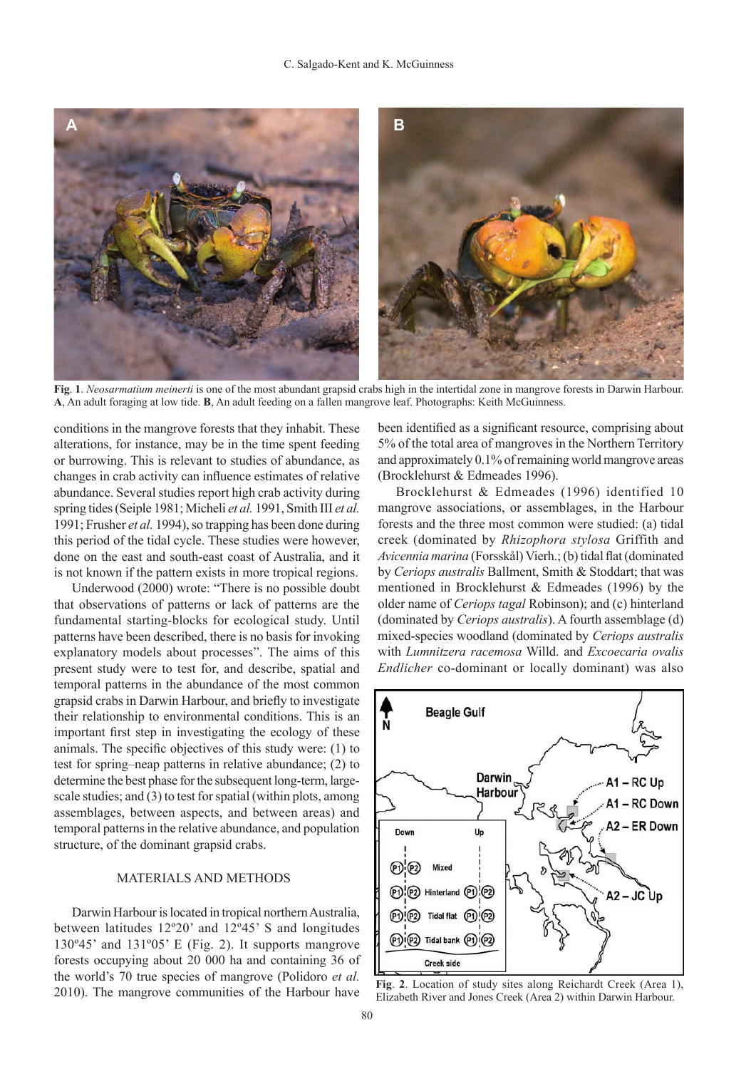

**Fig**. **1**. *Neosarmatium meinerti* is one of the most abundant grapsid crabs high in the intertidal zone in mangrove forests in Darwin Harbour. **A**, An adult foraging at low tide. **B**, An adult feeding on a fallen mangrove leaf. Photographs: Keith McGuinness.

conditions in the mangrove forests that they inhabit. These alterations, for instance, may be in the time spent feeding or burrowing. This is relevant to studies of abundance, as changes in crab activity can influence estimates of relative abundance. Several studies report high crab activity during spring tides (Seiple 1981; Micheli *et al.* 1991, Smith III *et al.* 1991; Frusher *et al.* 1994), so trapping has been done during this period of the tidal cycle. These studies were however, done on the east and south-east coast of Australia, and it is not known if the pattern exists in more tropical regions.

Underwood (2000) wrote: "There is no possible doubt that observations of patterns or lack of patterns are the fundamental starting-blocks for ecological study. Until patterns have been described, there is no basis for invoking explanatory models about processes". The aims of this present study were to test for, and describe, spatial and temporal patterns in the abundance of the most common grapsid crabs in Darwin Harbour, and briefly to investigate their relationship to environmental conditions. This is an important first step in investigating the ecology of these animals. The specific objectives of this study were: (1) to test for spring–neap patterns in relative abundance; (2) to determine the best phase for the subsequent long-term, largescale studies; and (3) to test for spatial (within plots, among assemblages, between aspects, and between areas) and temporal patterns in the relative abundance, and population structure, of the dominant grapsid crabs.

### MATERIALS AND METHODS

Darwin Harbour is located in tropical northern Australia, between latitudes 12º20' and 12º45' S and longitudes 130º45' and 131º05' E (Fig. 2). It supports mangrove forests occupying about 20 000 ha and containing 36 of the world's 70 true species of mangrove (Polidoro *et al.* 2010). The mangrove communities of the Harbour have

been identified as a significant resource, comprising about 5% of the total area of mangroves in the Northern Territory and approximately 0.1% of remaining world mangrove areas (Brocklehurst & Edmeades 1996).

Brocklehurst & Edmeades (1996) identified 10 mangrove associations, or assemblages, in the Harbour forests and the three most common were studied: (a) tidal creek (dominated by *Rhizophora stylosa* Griffith and *Avicennia marina* (Forsskål) Vierh.; (b) tidal flat (dominated by *Ceriops australis* Ballment, Smith & Stoddart; that was mentioned in Brocklehurst & Edmeades (1996) by the older name of *Ceriops tagal* Robinson); and (c) hinterland (dominated by *Ceriops australis*). A fourth assemblage (d) mixed-species woodland (dominated by *Ceriops australis* with *Lumnitzera racemosa* Willd. and *Excoecaria ovalis Endlicher* co-dominant or locally dominant) was also



**Fig**. **2**. Location of study sites along Reichardt Creek (Area 1), Elizabeth River and Jones Creek (Area 2) within Darwin Harbour.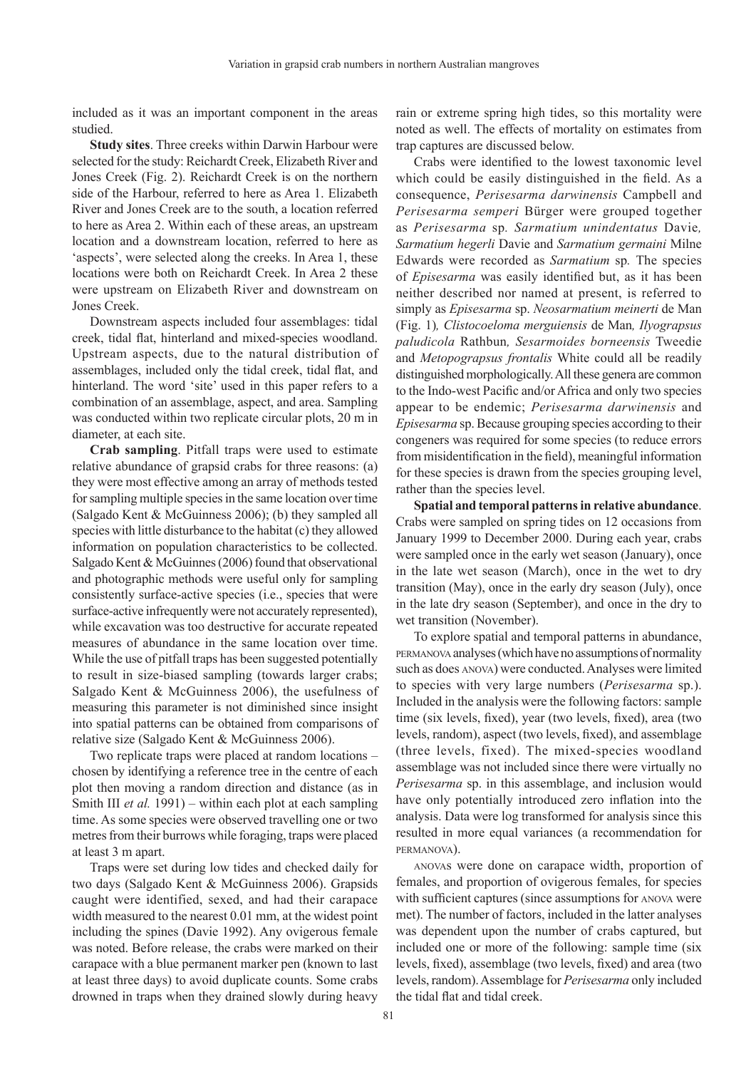included as it was an important component in the areas studied.

**Study sites**. Three creeks within Darwin Harbour were selected for the study: Reichardt Creek, Elizabeth River and Jones Creek (Fig. 2). Reichardt Creek is on the northern side of the Harbour, referred to here as Area 1. Elizabeth River and Jones Creek are to the south, a location referred to here as Area 2. Within each of these areas, an upstream location and a downstream location, referred to here as 'aspects', were selected along the creeks. In Area 1, these locations were both on Reichardt Creek. In Area 2 these were upstream on Elizabeth River and downstream on Jones Creek.

Downstream aspects included four assemblages: tidal creek, tidal flat, hinterland and mixed-species woodland. Upstream aspects, due to the natural distribution of assemblages, included only the tidal creek, tidal flat, and hinterland. The word 'site' used in this paper refers to a combination of an assemblage, aspect, and area. Sampling was conducted within two replicate circular plots, 20 m in diameter, at each site.

**Crab sampling**. Pitfall traps were used to estimate relative abundance of grapsid crabs for three reasons: (a) they were most effective among an array of methods tested for sampling multiple species in the same location over time (Salgado Kent & McGuinness 2006); (b) they sampled all species with little disturbance to the habitat (c) they allowed information on population characteristics to be collected. Salgado Kent & McGuinnes (2006) found that observational and photographic methods were useful only for sampling consistently surface-active species (i.e., species that were surface-active infrequently were not accurately represented), while excavation was too destructive for accurate repeated measures of abundance in the same location over time. While the use of pitfall traps has been suggested potentially to result in size-biased sampling (towards larger crabs; Salgado Kent & McGuinness 2006), the usefulness of measuring this parameter is not diminished since insight into spatial patterns can be obtained from comparisons of relative size (Salgado Kent & McGuinness 2006).

Two replicate traps were placed at random locations – chosen by identifying a reference tree in the centre of each plot then moving a random direction and distance (as in Smith III *et al.* 1991) – within each plot at each sampling time. As some species were observed travelling one or two metres from their burrows while foraging, traps were placed at least 3 m apart.

Traps were set during low tides and checked daily for two days (Salgado Kent & McGuinness 2006). Grapsids caught were identified, sexed, and had their carapace width measured to the nearest 0.01 mm, at the widest point including the spines (Davie 1992). Any ovigerous female was noted. Before release, the crabs were marked on their carapace with a blue permanent marker pen (known to last at least three days) to avoid duplicate counts. Some crabs drowned in traps when they drained slowly during heavy

rain or extreme spring high tides, so this mortality were noted as well. The effects of mortality on estimates from trap captures are discussed below.

Crabs were identified to the lowest taxonomic level which could be easily distinguished in the field. As a consequence, *Perisesarma darwinensis* Campbell and *Perisesarma semperi* Bürger were grouped together as *Perisesarma* sp*. Sarmatium unindentatus* Davie*, Sarmatium hegerli* Davie and *Sarmatium germaini* Milne Edwards were recorded as *Sarmatium* sp*.* The species of *Episesarma* was easily identified but, as it has been neither described nor named at present, is referred to simply as *Episesarma* sp. *Neosarmatium meinerti* de Man (Fig. 1)*, Clistocoeloma merguiensis* de Man*, Ilyograpsus paludicola* Rathbun*, Sesarmoides borneensis* Tweedie and *Metopograpsus frontalis* White could all be readily distinguished morphologically. All these genera are common to the Indo-west Pacific and/or Africa and only two species appear to be endemic; *Perisesarma darwinensis* and *Episesarma* sp. Because grouping species according to their congeners was required for some species (to reduce errors from misidentification in the field), meaningful information for these species is drawn from the species grouping level, rather than the species level.

**Spatial and temporal patterns in relative abundance**. Crabs were sampled on spring tides on 12 occasions from January 1999 to December 2000. During each year, crabs were sampled once in the early wet season (January), once in the late wet season (March), once in the wet to dry transition (May), once in the early dry season (July), once in the late dry season (September), and once in the dry to wet transition (November).

To explore spatial and temporal patterns in abundance, permanova analyses (which have no assumptions of normality such as does anova) were conducted. Analyses were limited to species with very large numbers (*Perisesarma* sp.). Included in the analysis were the following factors: sample time (six levels, fixed), year (two levels, fixed), area (two levels, random), aspect (two levels, fixed), and assemblage (three levels, fixed). The mixed-species woodland assemblage was not included since there were virtually no *Perisesarma* sp. in this assemblage, and inclusion would have only potentially introduced zero inflation into the analysis. Data were log transformed for analysis since this resulted in more equal variances (a recommendation for permanova).

anovas were done on carapace width, proportion of females, and proportion of ovigerous females, for species with sufficient captures (since assumptions for anova were met). The number of factors, included in the latter analyses was dependent upon the number of crabs captured, but included one or more of the following: sample time (six levels, fixed), assemblage (two levels, fixed) and area (two levels, random). Assemblage for *Perisesarma* only included the tidal flat and tidal creek.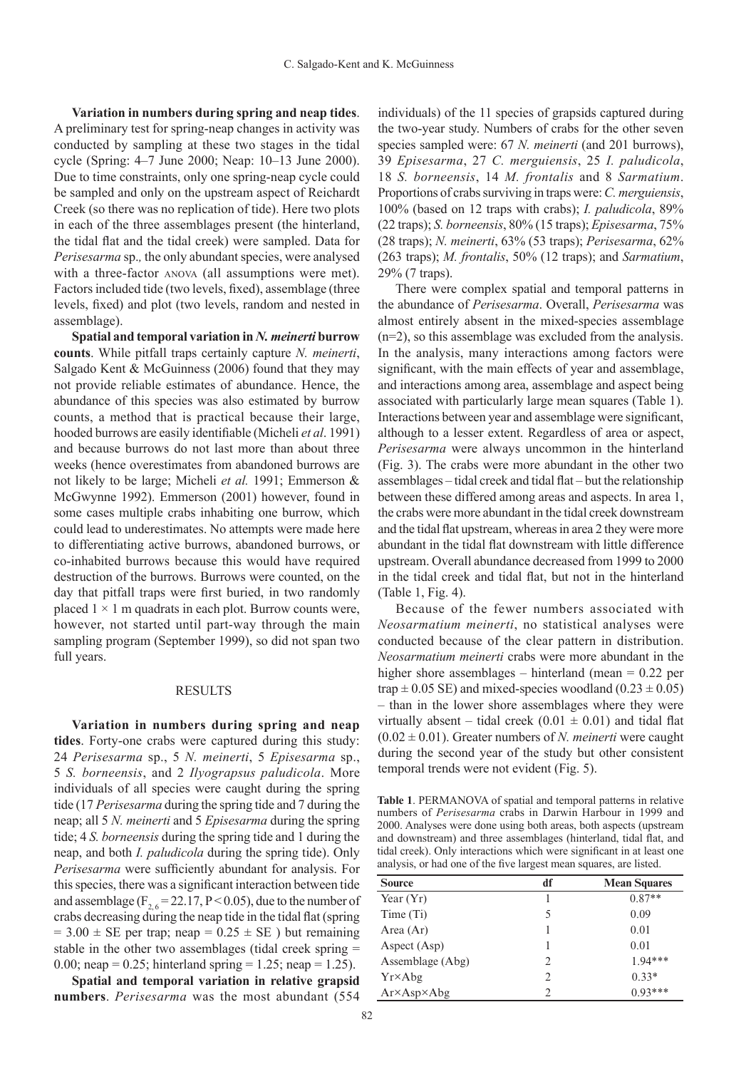**Variation in numbers during spring and neap tides**. A preliminary test for spring-neap changes in activity was conducted by sampling at these two stages in the tidal cycle (Spring: 4–7 June 2000; Neap: 10–13 June 2000). Due to time constraints, only one spring-neap cycle could be sampled and only on the upstream aspect of Reichardt Creek (so there was no replication of tide). Here two plots in each of the three assemblages present (the hinterland, the tidal flat and the tidal creek) were sampled. Data for *Perisesarma* sp.*,* the only abundant species, were analysed with a three-factor anova (all assumptions were met). Factors included tide (two levels, fixed), assemblage (three levels, fixed) and plot (two levels, random and nested in assemblage).

**Spatial and temporal variation in** *N. meinerti* **burrow counts**. While pitfall traps certainly capture *N. meinerti*, Salgado Kent & McGuinness (2006) found that they may not provide reliable estimates of abundance. Hence, the abundance of this species was also estimated by burrow counts, a method that is practical because their large, hooded burrows are easily identifiable (Micheli *et al*. 1991) and because burrows do not last more than about three weeks (hence overestimates from abandoned burrows are not likely to be large; Micheli *et al.* 1991; Emmerson & McGwynne 1992). Emmerson (2001) however, found in some cases multiple crabs inhabiting one burrow, which could lead to underestimates. No attempts were made here to differentiating active burrows, abandoned burrows, or co-inhabited burrows because this would have required destruction of the burrows. Burrows were counted, on the day that pitfall traps were first buried, in two randomly placed  $1 \times 1$  m quadrats in each plot. Burrow counts were, however, not started until part-way through the main sampling program (September 1999), so did not span two full years.

#### RESULTS

**Variation in numbers during spring and neap tides**. Forty-one crabs were captured during this study: 24 *Perisesarma* sp., 5 *N. meinerti*, 5 *Episesarma* sp., 5 *S. borneensis*, and 2 *Ilyograpsus paludicola*. More individuals of all species were caught during the spring tide (17 *Perisesarma* during the spring tide and 7 during the neap; all 5 *N. meinerti* and 5 *Episesarma* during the spring tide; 4 *S. borneensis* during the spring tide and 1 during the neap, and both *I. paludicola* during the spring tide). Only *Perisesarma* were sufficiently abundant for analysis. For this species, there was a significant interaction between tide and assemblage  $(F_{2, 6} = 22.17, P \le 0.05)$ , due to the number of crabs decreasing during the neap tide in the tidal flat (spring  $= 3.00 \pm SE$  per trap; neap  $= 0.25 \pm SE$ ) but remaining stable in the other two assemblages (tidal creek spring = 0.00; neap = 0.25; hinterland spring = 1.25; neap = 1.25).

**Spatial and temporal variation in relative grapsid numbers**. *Perisesarma* was the most abundant (554 individuals) of the 11 species of grapsids captured during the two-year study. Numbers of crabs for the other seven species sampled were: 67 *N. meinerti* (and 201 burrows), 39 *Episesarma*, 27 *C. merguiensis*, 25 *I. paludicola*, 18 *S. borneensis*, 14 *M. frontalis* and 8 *Sarmatium*. Proportions of crabs surviving in traps were: *C. merguiensis*, 100% (based on 12 traps with crabs); *I. paludicola*, 89% (22 traps); *S. borneensis*, 80% (15 traps); *Episesarma*, 75% (28 traps); *N. meinerti*, 63% (53 traps); *Perisesarma*, 62% (263 traps); *M. frontalis*, 50% (12 traps); and *Sarmatium*, 29% (7 traps).

There were complex spatial and temporal patterns in the abundance of *Perisesarma*. Overall, *Perisesarma* was almost entirely absent in the mixed-species assemblage (n=2), so this assemblage was excluded from the analysis. In the analysis, many interactions among factors were significant, with the main effects of year and assemblage, and interactions among area, assemblage and aspect being associated with particularly large mean squares (Table 1). Interactions between year and assemblage were significant, although to a lesser extent. Regardless of area or aspect, *Perisesarma* were always uncommon in the hinterland (Fig. 3). The crabs were more abundant in the other two assemblages – tidal creek and tidal flat – but the relationship between these differed among areas and aspects. In area 1, the crabs were more abundant in the tidal creek downstream and the tidal flat upstream, whereas in area 2 they were more abundant in the tidal flat downstream with little difference upstream. Overall abundance decreased from 1999 to 2000 in the tidal creek and tidal flat, but not in the hinterland (Table 1, Fig. 4).

Because of the fewer numbers associated with *Neosarmatium meinerti*, no statistical analyses were conducted because of the clear pattern in distribution. *Neosarmatium meinerti* crabs were more abundant in the higher shore assemblages – hinterland (mean = 0.22 per trap  $\pm$  0.05 SE) and mixed-species woodland (0.23  $\pm$  0.05) – than in the lower shore assemblages where they were virtually absent – tidal creek  $(0.01 \pm 0.01)$  and tidal flat  $(0.02 \pm 0.01)$ . Greater numbers of *N. meinerti* were caught during the second year of the study but other consistent temporal trends were not evident (Fig. 5).

**Table 1**. PERMANOVA of spatial and temporal patterns in relative numbers of *Perisesarma* crabs in Darwin Harbour in 1999 and 2000. Analyses were done using both areas, both aspects (upstream and downstream) and three assemblages (hinterland, tidal flat, and tidal creek). Only interactions which were significant in at least one analysis, or had one of the five largest mean squares, are listed.

| <b>Source</b>              | df                            | <b>Mean Squares</b> |  |  |
|----------------------------|-------------------------------|---------------------|--|--|
| Year $(Yr)$                |                               | $0.87**$            |  |  |
| Time (Ti)                  | 5                             | 0.09                |  |  |
| Area (Ar)                  |                               | 0.01                |  |  |
| Aspect (Asp)               |                               | 0.01                |  |  |
| Assemblage (Abg)           | 2                             | $1.94***$           |  |  |
| Yr×Abg                     | $\mathfrak{D}_{\mathfrak{p}}$ | $0.33*$             |  |  |
| $Ar \times Asp \times Abg$ | $\mathcal{D}_{\mathcal{A}}$   | $0.93***$           |  |  |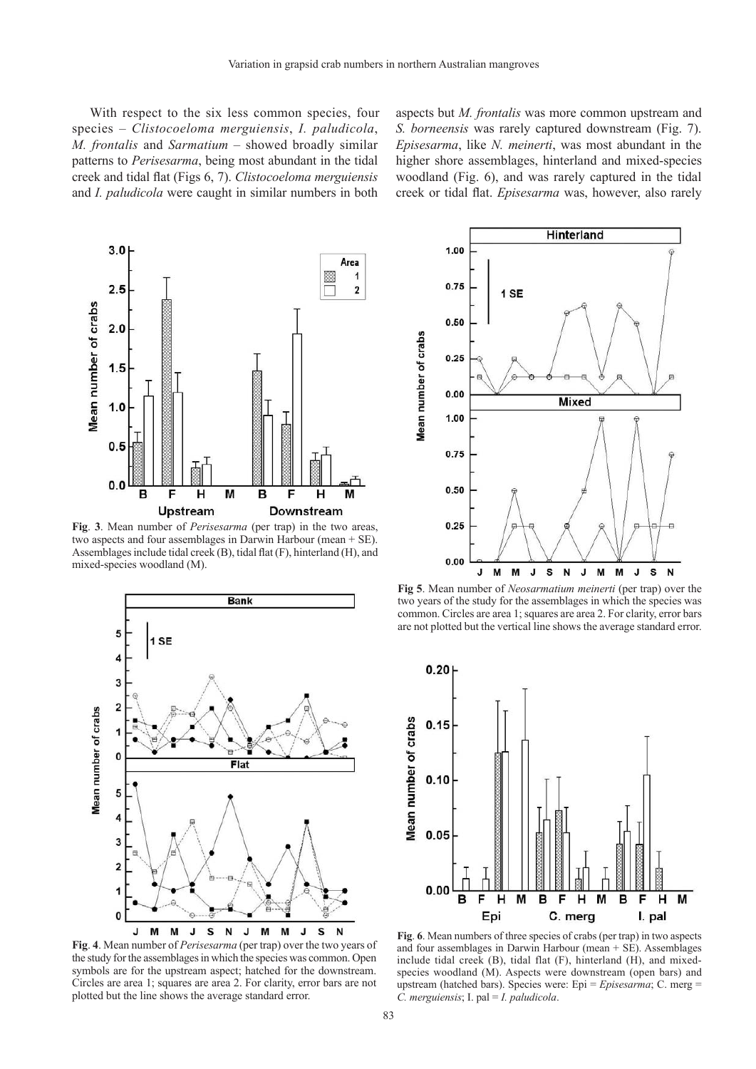With respect to the six less common species, four species – *Clistocoeloma merguiensis*, *I. paludicola*, *M. frontalis* and *Sarmatium* – showed broadly similar patterns to *Perisesarma*, being most abundant in the tidal creek and tidal flat (Figs 6, 7). *Clistocoeloma merguiensis* and *I. paludicola* were caught in similar numbers in both

aspects but *M. frontalis* was more common upstream and *S. borneensis* was rarely captured downstream (Fig. 7). *Episesarma*, like *N. meinerti*, was most abundant in the higher shore assemblages, hinterland and mixed-species woodland (Fig. 6), and was rarely captured in the tidal creek or tidal flat. *Episesarma* was, however, also rarely



**Fig**. **3**. Mean number of *Perisesarma* (per trap) in the two areas, two aspects and four assemblages in Darwin Harbour (mean + SE). Assemblages include tidal creek (B), tidal flat (F), hinterland (H), and mixed-species woodland (M).



**Fig**. **4**. Mean number of *Perisesarma* (per trap) over the two years of the study for the assemblages in which the species was common. Open symbols are for the upstream aspect; hatched for the downstream. Circles are area 1; squares are area 2. For clarity, error bars are not plotted but the line shows the average standard error.



**Fig 5**. Mean number of *Neosarmatium meinerti* (per trap) over the two years of the study for the assemblages in which the species was common. Circles are area 1; squares are area 2. For clarity, error bars are not plotted but the vertical line shows the average standard error.



**Fig**. **6**. Mean numbers of three species of crabs (per trap) in two aspects and four assemblages in Darwin Harbour (mean + SE). Assemblages include tidal creek (B), tidal flat (F), hinterland (H), and mixedspecies woodland (M). Aspects were downstream (open bars) and upstream (hatched bars). Species were: Epi = *Episesarma*; C. merg = *C. merguiensis*; I. pal = *I. paludicola*.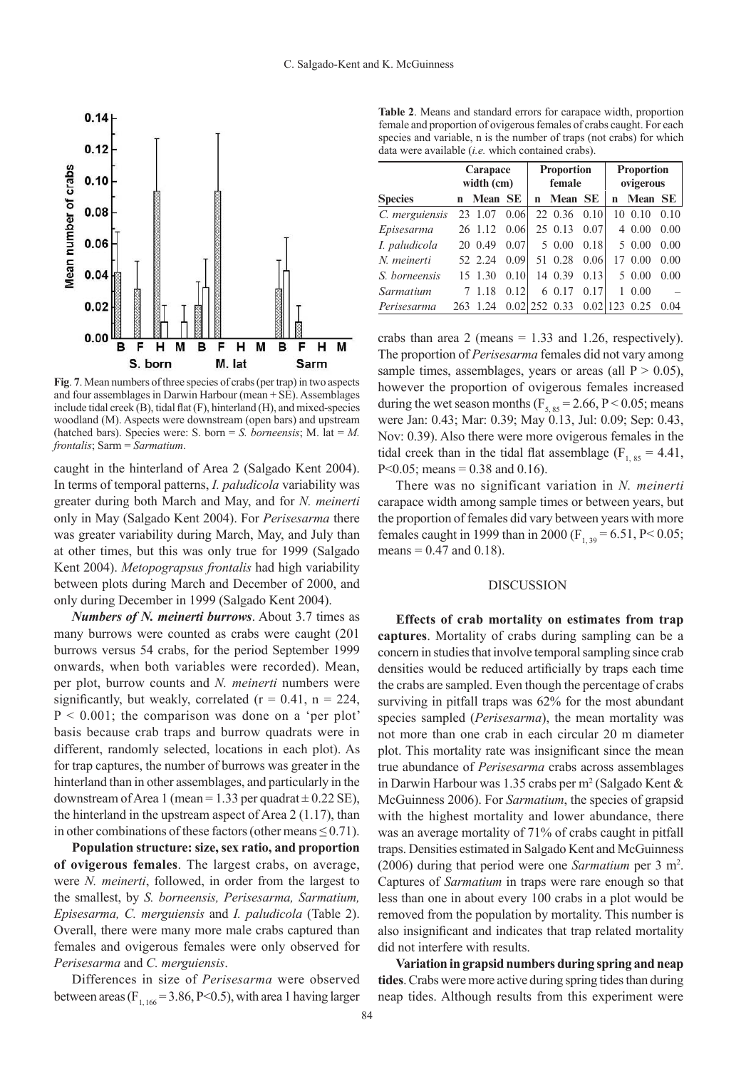

**Fig**. **7**. Mean numbers of three species of crabs (per trap) in two aspects and four assemblages in Darwin Harbour (mean + SE). Assemblages include tidal creek (B), tidal flat (F), hinterland (H), and mixed-species woodland (M). Aspects were downstream (open bars) and upstream (hatched bars). Species were: S. born  $= S$ . *borneensis*; M. lat  $= M$ . *frontalis*; Sarm = *Sarmatium*.

caught in the hinterland of Area 2 (Salgado Kent 2004). In terms of temporal patterns, *I. paludicola* variability was greater during both March and May, and for *N. meinerti*  only in May (Salgado Kent 2004). For *Perisesarma* there was greater variability during March, May, and July than at other times, but this was only true for 1999 (Salgado Kent 2004). *Metopograpsus frontalis* had high variability between plots during March and December of 2000, and only during December in 1999 (Salgado Kent 2004).

*Numbers of N. meinerti burrows*. About 3.7 times as many burrows were counted as crabs were caught (201 burrows versus 54 crabs, for the period September 1999 onwards, when both variables were recorded). Mean, per plot, burrow counts and *N. meinerti* numbers were significantly, but weakly, correlated ( $r = 0.41$ ,  $n = 224$ ,  $P < 0.001$ ; the comparison was done on a 'per plot' basis because crab traps and burrow quadrats were in different, randomly selected, locations in each plot). As for trap captures, the number of burrows was greater in the hinterland than in other assemblages, and particularly in the downstream of Area 1 (mean =  $1.33$  per quadrat  $\pm$  0.22 SE), the hinterland in the upstream aspect of Area 2 (1.17), than in other combinations of these factors (other means  $\leq 0.71$ ).

**Population structure: size, sex ratio, and proportion of ovigerous females**. The largest crabs, on average, were *N. meinerti*, followed, in order from the largest to the smallest, by *S. borneensis, Perisesarma, Sarmatium, Episesarma, C. merguiensis* and *I. paludicola* (Table 2). Overall, there were many more male crabs captured than females and ovigerous females were only observed for *Perisesarma* and *C. merguiensis*.

Differences in size of *Perisesarma* were observed between areas ( $F<sub>1,166</sub> = 3.86, P < 0.5$ ), with area 1 having larger

**Table 2**. Means and standard errors for carapace width, proportion female and proportion of ovigerous females of crabs caught. For each species and variable, n is the number of traps (not crabs) for which data were available (*i.e.* which contained crabs).

|                | Carapace    |         | <b>Proportion</b> |        |                  | <b>Proportion</b> |             |                |      |
|----------------|-------------|---------|-------------------|--------|------------------|-------------------|-------------|----------------|------|
|                | width (cm)  |         |                   | female |                  |                   | ovigerous   |                |      |
| <b>Species</b> | $\mathbf n$ | Mean SE |                   | n      | Mean SE          |                   | $\mathbf n$ | <b>Mean SE</b> |      |
| C. merguiensis |             | 23 1.07 | 0.06              |        | 22 0.36          | 0.10              | 10          | 0.10           | 0.10 |
| Episesarma     |             | 26 1.12 | 0.06              |        | 25 0.13          | 0.07              | 4           | 0.00           | 0.00 |
| I. paludicola  |             | 20 0.49 | 0.07              |        | 50.00            | 0.18              |             | 5 0.00         | 0.00 |
| N. meinerti    |             | 52 2.24 | 0.09              |        | 51 0.28          | 0.06              | 17          | 0.00           | 0.00 |
| S. borneensis  |             | 15 1.30 | 0.10              |        | 14 0.39          | 0.13              |             | 5 0.00         | 0.00 |
| Sarmatium      |             | 1.18    | 0.12              |        | 6 0.17           | 0.17              | 1           | 0.00           |      |
| Perisesarma    | 263         | 1.24    |                   |        | $0.02$  252 0.33 | 0.02              | 123         | 0.25           | 0.04 |

crabs than area 2 (means  $= 1.33$  and 1.26, respectively). The proportion of *Perisesarma* females did not vary among sample times, assemblages, years or areas (all  $P > 0.05$ ), however the proportion of ovigerous females increased during the wet season months ( $F<sub>5, 85</sub> = 2.66$ , P < 0.05; means were Jan: 0.43; Mar: 0.39; May 0.13, Jul: 0.09; Sep: 0.43, Nov: 0.39). Also there were more ovigerous females in the tidal creek than in the tidal flat assemblage ( $F_{1, 85} = 4.41$ ,  $P<0.05$ ; means = 0.38 and 0.16).

There was no significant variation in *N. meinerti* carapace width among sample times or between years, but the proportion of females did vary between years with more females caught in 1999 than in 2000 (F<sub>1,39</sub> = 6.51, P < 0.05; means  $= 0.47$  and  $0.18$ ).

#### **DISCUSSION**

**Effects of crab mortality on estimates from trap captures**. Mortality of crabs during sampling can be a concern in studies that involve temporal sampling since crab densities would be reduced artificially by traps each time the crabs are sampled. Even though the percentage of crabs surviving in pitfall traps was 62% for the most abundant species sampled (*Perisesarma*), the mean mortality was not more than one crab in each circular 20 m diameter plot. This mortality rate was insignificant since the mean true abundance of *Perisesarma* crabs across assemblages in Darwin Harbour was 1.35 crabs per m<sup>2</sup> (Salgado Kent  $\&$ McGuinness 2006). For *Sarmatium*, the species of grapsid with the highest mortality and lower abundance, there was an average mortality of 71% of crabs caught in pitfall traps. Densities estimated in Salgado Kent and McGuinness (2006) during that period were one *Sarmatium* per 3 m2 . Captures of *Sarmatium* in traps were rare enough so that less than one in about every 100 crabs in a plot would be removed from the population by mortality. This number is also insignificant and indicates that trap related mortality did not interfere with results.

**Variation in grapsid numbers during spring and neap tides**.Crabs were more active during spring tides than during neap tides. Although results from this experiment were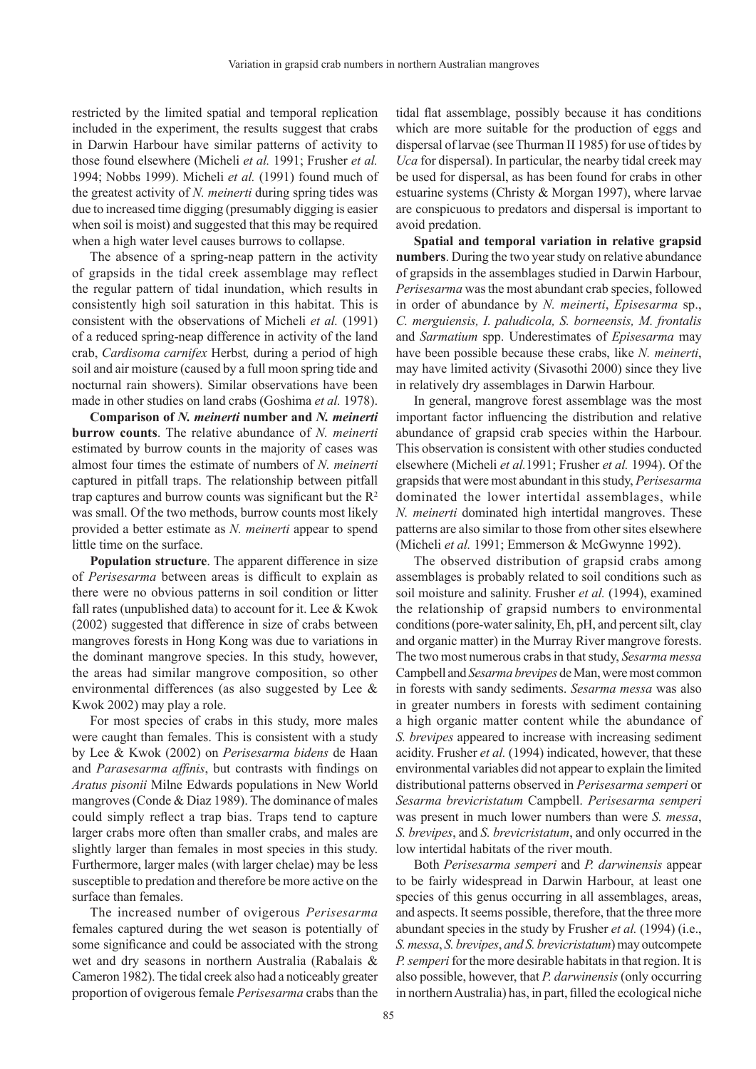restricted by the limited spatial and temporal replication included in the experiment, the results suggest that crabs in Darwin Harbour have similar patterns of activity to those found elsewhere (Micheli *et al.* 1991; Frusher *et al.* 1994; Nobbs 1999). Micheli *et al.* (1991) found much of the greatest activity of *N. meinerti* during spring tides was due to increased time digging (presumably digging is easier when soil is moist) and suggested that this may be required when a high water level causes burrows to collapse.

The absence of a spring-neap pattern in the activity of grapsids in the tidal creek assemblage may reflect the regular pattern of tidal inundation, which results in consistently high soil saturation in this habitat. This is consistent with the observations of Micheli *et al.* (1991) of a reduced spring-neap difference in activity of the land crab, *Cardisoma carnifex* Herbst*,* during a period of high soil and air moisture (caused by a full moon spring tide and nocturnal rain showers). Similar observations have been made in other studies on land crabs (Goshima *et al.* 1978).

**Comparison of** *N. meinerti* **number and** *N. meinerti* **burrow counts**. The relative abundance of *N. meinerti* estimated by burrow counts in the majority of cases was almost four times the estimate of numbers of *N. meinerti* captured in pitfall traps. The relationship between pitfall trap captures and burrow counts was significant but the  $R<sup>2</sup>$ was small. Of the two methods, burrow counts most likely provided a better estimate as *N. meinerti* appear to spend little time on the surface.

**Population structure**. The apparent difference in size of *Perisesarma* between areas is difficult to explain as there were no obvious patterns in soil condition or litter fall rates (unpublished data) to account for it. Lee & Kwok (2002) suggested that difference in size of crabs between mangroves forests in Hong Kong was due to variations in the dominant mangrove species. In this study, however, the areas had similar mangrove composition, so other environmental differences (as also suggested by Lee & Kwok 2002) may play a role.

For most species of crabs in this study, more males were caught than females. This is consistent with a study by Lee & Kwok (2002) on *Perisesarma bidens* de Haan and *Parasesarma affinis*, but contrasts with findings on *Aratus pisonii* Milne Edwards populations in New World mangroves (Conde & Diaz 1989). The dominance of males could simply reflect a trap bias. Traps tend to capture larger crabs more often than smaller crabs, and males are slightly larger than females in most species in this study. Furthermore, larger males (with larger chelae) may be less susceptible to predation and therefore be more active on the surface than females.

The increased number of ovigerous *Perisesarma* females captured during the wet season is potentially of some significance and could be associated with the strong wet and dry seasons in northern Australia (Rabalais & Cameron 1982). The tidal creek also had a noticeably greater proportion of ovigerous female *Perisesarma* crabs than the

tidal flat assemblage, possibly because it has conditions which are more suitable for the production of eggs and dispersal of larvae (see Thurman II 1985) for use of tides by *Uca* for dispersal). In particular, the nearby tidal creek may be used for dispersal, as has been found for crabs in other estuarine systems (Christy & Morgan 1997), where larvae are conspicuous to predators and dispersal is important to avoid predation.

**Spatial and temporal variation in relative grapsid numbers**. During the two year study on relative abundance of grapsids in the assemblages studied in Darwin Harbour, *Perisesarma* was the most abundant crab species, followed in order of abundance by *N. meinerti*, *Episesarma* sp., *C. merguiensis, I. paludicola, S. borneensis, M. frontalis* and *Sarmatium* spp. Underestimates of *Episesarma* may have been possible because these crabs, like *N. meinerti*, may have limited activity (Sivasothi 2000) since they live in relatively dry assemblages in Darwin Harbour.

In general, mangrove forest assemblage was the most important factor influencing the distribution and relative abundance of grapsid crab species within the Harbour. This observation is consistent with other studies conducted elsewhere (Micheli *et al.*1991; Frusher *et al.* 1994). Of the grapsids that were most abundant in this study, *Perisesarma*  dominated the lower intertidal assemblages, while *N. meinerti* dominated high intertidal mangroves. These patterns are also similar to those from other sites elsewhere (Micheli *et al.* 1991; Emmerson & McGwynne 1992).

The observed distribution of grapsid crabs among assemblages is probably related to soil conditions such as soil moisture and salinity. Frusher *et al.* (1994), examined the relationship of grapsid numbers to environmental conditions (pore-water salinity, Eh, pH, and percent silt, clay and organic matter) in the Murray River mangrove forests. The two most numerous crabs in that study, *Sesarma messa* Campbell and *Sesarma brevipes* de Man, were most common in forests with sandy sediments. *Sesarma messa* was also in greater numbers in forests with sediment containing a high organic matter content while the abundance of *S. brevipes* appeared to increase with increasing sediment acidity. Frusher *et al.* (1994) indicated, however, that these environmental variables did not appear to explain the limited distributional patterns observed in *Perisesarma semperi* or *Sesarma brevicristatum* Campbell. *Perisesarma semperi* was present in much lower numbers than were *S. messa*, *S. brevipes*, and *S. brevicristatum*, and only occurred in the low intertidal habitats of the river mouth.

Both *Perisesarma semperi* and *P. darwinensis* appear to be fairly widespread in Darwin Harbour, at least one species of this genus occurring in all assemblages, areas, and aspects. It seems possible, therefore, that the three more abundant species in the study by Frusher *et al.* (1994) (i.e., *S. messa*, *S. brevipes*, *and S. brevicristatum*) may outcompete *P.semperi* for the more desirable habitats in that region. It is also possible, however, that *P. darwinensis* (only occurring in northern Australia) has, in part, filled the ecological niche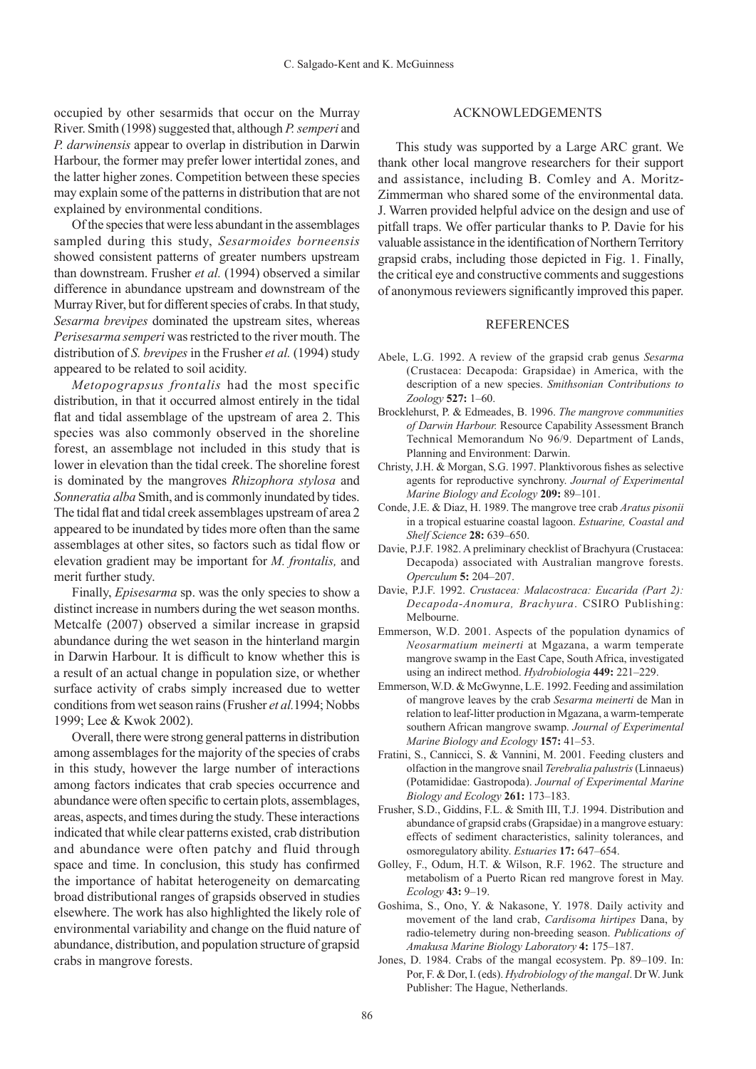occupied by other sesarmids that occur on the Murray River. Smith (1998) suggested that, although *P. semperi* and *P. darwinensis* appear to overlap in distribution in Darwin Harbour, the former may prefer lower intertidal zones, and the latter higher zones. Competition between these species may explain some of the patterns in distribution that are not explained by environmental conditions.

Of the species that were less abundant in the assemblages sampled during this study, *Sesarmoides borneensis* showed consistent patterns of greater numbers upstream than downstream. Frusher *et al.* (1994) observed a similar difference in abundance upstream and downstream of the Murray River, but for different species of crabs. In that study, *Sesarma brevipes* dominated the upstream sites, whereas *Perisesarma semperi* was restricted to the river mouth. The distribution of *S. brevipes* in the Frusher *et al.* (1994) study appeared to be related to soil acidity.

*Metopograpsus frontalis* had the most specific distribution, in that it occurred almost entirely in the tidal flat and tidal assemblage of the upstream of area 2. This species was also commonly observed in the shoreline forest, an assemblage not included in this study that is lower in elevation than the tidal creek. The shoreline forest is dominated by the mangroves *Rhizophora stylosa* and *Sonneratia alba* Smith, and is commonly inundated by tides. The tidal flat and tidal creek assemblages upstream of area 2 appeared to be inundated by tides more often than the same assemblages at other sites, so factors such as tidal flow or elevation gradient may be important for *M. frontalis,* and merit further study.

Finally, *Episesarma* sp. was the only species to show a distinct increase in numbers during the wet season months. Metcalfe (2007) observed a similar increase in grapsid abundance during the wet season in the hinterland margin in Darwin Harbour. It is difficult to know whether this is a result of an actual change in population size, or whether surface activity of crabs simply increased due to wetter conditions from wet season rains (Frusher *et al.*1994; Nobbs 1999; Lee & Kwok 2002).

Overall, there were strong general patterns in distribution among assemblages for the majority of the species of crabs in this study, however the large number of interactions among factors indicates that crab species occurrence and abundance were often specific to certain plots, assemblages, areas, aspects, and times during the study. These interactions indicated that while clear patterns existed, crab distribution and abundance were often patchy and fluid through space and time. In conclusion, this study has confirmed the importance of habitat heterogeneity on demarcating broad distributional ranges of grapsids observed in studies elsewhere. The work has also highlighted the likely role of environmental variability and change on the fluid nature of abundance, distribution, and population structure of grapsid crabs in mangrove forests.

#### ACKNOWLEDGEMENTS

This study was supported by a Large ARC grant. We thank other local mangrove researchers for their support and assistance, including B. Comley and A. Moritz-Zimmerman who shared some of the environmental data. J. Warren provided helpful advice on the design and use of pitfall traps. We offer particular thanks to P. Davie for his valuable assistance in the identification of Northern Territory grapsid crabs, including those depicted in Fig. 1. Finally, the critical eye and constructive comments and suggestions of anonymous reviewers significantly improved this paper.

### **REFERENCES**

- Abele, L.G. 1992. A review of the grapsid crab genus *Sesarma* (Crustacea: Decapoda: Grapsidae) in America, with the description of a new species. *Smithsonian Contributions to Zoology* **527:** 1–60.
- Brocklehurst, P. & Edmeades, B. 1996. *The mangrove communities of Darwin Harbour.* Resource Capability Assessment Branch Technical Memorandum No 96/9. Department of Lands, Planning and Environment: Darwin.
- Christy, J.H. & Morgan, S.G. 1997. Planktivorous fishes as selective agents for reproductive synchrony. *Journal of Experimental Marine Biology and Ecology* **209:** 89–101.
- Conde, J.E. & Diaz, H. 1989. The mangrove tree crab *Aratus pisonii*  in a tropical estuarine coastal lagoon. *Estuarine, Coastal and Shelf Science* **28:** 639–650.
- Davie, P.J.F. 1982. A preliminary checklist of Brachyura (Crustacea: Decapoda) associated with Australian mangrove forests. *Operculum* **5:** 204–207.
- Davie, P.J.F. 1992. *Crustacea: Malacostraca: Eucarida (Part 2): Decapoda-Anomura, Brachyura*. CSIRO Publishing: Melbourne.
- Emmerson, W.D. 2001. Aspects of the population dynamics of *Neosarmatium meinerti* at Mgazana, a warm temperate mangrove swamp in the East Cape, South Africa, investigated using an indirect method. *Hydrobiologia* **449:** 221–229.
- Emmerson, W.D. & McGwynne, L.E. 1992. Feeding and assimilation of mangrove leaves by the crab *Sesarma meinerti* de Man in relation to leaf-litter production in Mgazana, a warm-temperate southern African mangrove swamp. *Journal of Experimental Marine Biology and Ecology* **157:** 41–53.
- Fratini, S., Cannicci, S. & Vannini, M. 2001. Feeding clusters and olfaction in the mangrove snail *Terebralia palustris* (Linnaeus) (Potamididae: Gastropoda). *Journal of Experimental Marine Biology and Ecology* **261:** 173–183.
- Frusher, S.D., Giddins, F.L. & Smith III, T.J. 1994. Distribution and abundance of grapsid crabs (Grapsidae) in a mangrove estuary: effects of sediment characteristics, salinity tolerances, and osmoregulatory ability. *Estuaries* **17:** 647–654.
- Golley, F., Odum, H.T. & Wilson, R.F. 1962. The structure and metabolism of a Puerto Rican red mangrove forest in May. *Ecology* **43:** 9–19.
- Goshima, S., Ono, Y. & Nakasone, Y. 1978. Daily activity and movement of the land crab, *Cardisoma hirtipes* Dana, by radio-telemetry during non-breeding season. *Publications of Amakusa Marine Biology Laboratory* **4:** 175–187.
- Jones, D. 1984. Crabs of the mangal ecosystem. Pp. 89–109. In: Por, F. & Dor, I. (eds). *Hydrobiology of the mangal*. Dr W.Junk Publisher: The Hague, Netherlands.